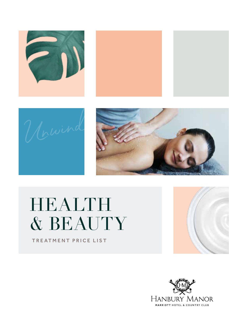







# HEALTH & BEAUTY

TREATMENT PRICE LIST

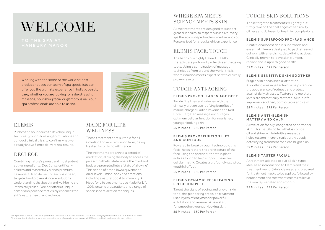# **WELCOME**



## **ELEMIS**

Pushes the boundaries to develop unique textures, ground-breaking formulations and conduct clinical trials to confirm what we already know; Elemis delivers real results.

# DECLÉOR

Combining nature's purest and most potent active ingredients, Decléor scientifically selects and masterfully blends premium Essential Oils to deliver for each skin need, targeted and proven skincare solutions. Understanding that beauty and well-being are intrinsically linked, Decléor offers a unique sensorial experience that visibly enhances the skin's natural health and radiance.

# MADE FOR LIFE **WELLNESS**

These treatments are suitable for all including those in remission from, being treated for or living with cancer.

The treatments are akin to a period of meditation, allowing the body to access the parasympathetic state where the mind and body are prompted into a 'state of allowing'. This period of time allows rejuvenation on all levels – mind, body and emotions including a natural boost to immunity. All Made for Life treatments use Made for Life 100% organic preparations and a range of specialised relaxation techniques.

# WHERE SPA MEETS SCIENCE MEETS SKIN

All the treatments are designed to support great skin health; to respect skin is alive, every spa therapy is shaped and moulded around you. Personalised for a results-driven experience

# ELEMIS FACE: TOUCH

The hands of a highly trained ELEMIS therapist are profoundly effective anti-ageing tools. Using a combination of massage techniques from around the world, this is where intuition meets expertise with clinically proven results.

# TOUCH: ANTI-AGEING

#### ELEMIS PRO-COLLAGEN AGE DEFY

Tackle fine lines and wrinkles with the clinically proven age-defying benefits of marine charged Padina Pavonica and Red Coral. Targeted massage encourages optimum cellular function for nourished, younger looking skin.

55 Minutes £80 Per Person

#### ELEMIS PRO-DEFINITION LIFT AND CONTOUR

Powered by breakthrough technology, this facial helps restore the architecture of the face using the potent nutrients in plant actives found to help support the extracellular matrix. Creates a profoundly sculpted, youthful effect.

55 Minutes £80 Per Person

#### ELEMIS DYNAMIC RESURFACING PRECISION PEEL

Target the signs of ageing and uneven skin tone, this pioneering precision treatment uses layers of enzymes for powerful exfoliation and renewal. A new start for smoother, younger-looking skin.

55 Minutes £80 Per Person

# TOUCH: SKIN SOLUTIONS

These targeted treatments will gently but firmly take on the challenges of sensitivity, oiliness and dullness for healthier complexions.

#### ELEMIS SUPERFOOD PRO-RADIANCE

A nutritional boost rich in superfoods and essential minerals designed to pack stressed, dull skin with energising, detoxifying actives. Clinically proven to leave skin plumper, radiant and lit up with good health.

55 Minutes £75 Per Person

#### ELEMIS SENSITIVE SKIN SOOTHER

Fragile skin needs special attention. A soothing massage technique helps reduce the appearance of redness and protect against daily stresses. Texture and moisture levels are dramatically restored. Skin is left supremely soothed, comfortable and calm.

55 Minutes £75 Per Person

#### E LEMIS ANTI-BLEMISH MATTIFY AND CALM

A revelation for oily, congested or hormonal skin. This mattifying facial helps combat oil and shine, while intuitive massage helps restore micro-circulation. A deeply detoxifying treatment for clear, bright skin.

55 Minutes £75 Per Person

#### ELEMIS TASTER FACIAL

A treatment adapted to suit all skin types, ideal as an introduction to Elemis and their treatment menu. Skin is cleansed and prepared for treatment masks to be applied, followed by nourishment and treatment creams to leave the skin rejuvenated and smooth.

25 Minutes £45 Per Person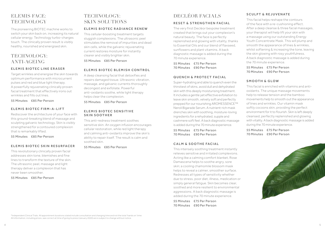# ELEMIS FACE: **TECHNOLOGY**

The pioneering BIOTEC machine works to switch your skin back on, increasing its natural cellular energy. Technology turbo-charges touch. The clinically proven result is visibly healthy, nourished and energised skin.

# TECHNOLOGY: ANTI-AGEING

#### ELEMIS BIOTEC LINE ERASER

Target wrinkles and energise the skin towards optimum performance with microcurrent pulses and red and blue light therapy. A powerfully rejuvenating clinically proven facial treatment that effectively irons out wrinkles and fills out lines.

55 Minutes £85 Per Person

#### ELEMIS BIOTEC FIRM-A-LIFT

Rediscover the architecture of your face with this ground-breaking blend of massage and sculpting galvanic technology. Skin is visibly strengthened for a contoured complexion that is remarkably lifted.

55 Minutes £85 Per Person

#### ELEMIS BIOTEC SKIN RESURFACER

This revolutionary clinically proven facial addresses skin tone, blemishes and fine lines to transform the texture of the skin. The ultrasonic peel, massage and light therapy deliver a complexion that has never been smoother.

55 Minutes £85 Per Person

# TECHNOLOGY: SKIN SOLUTIONS

#### ELEMIS BIOTEC RADIANCE RENEW

This cellular-boosting treatment targets sluggish complexions. The ultrasonic peel stimulates the removal of impurities and dead skin cells, while the galvanic rejuvenating current restores moisture for instantly clearer and visibly brighter skin.

55 Minutes £85 Per Person

#### ELEMIS BIOTEC BLEMISH CONTROL

A deep cleansing facial that detoxifies and repairs damaged tissue. Ultrasonic vibration, massage, and galvanic currents thoroughly decongest and exfoliate. Powerful anti-oxidants soothe, while light therapy helps clear the complexion.

55 Minutes £85 Per Person

#### ELEMIS BIOTEC SENSITIVE SKIN SOOTHER

This anti-redness treatment soothes sensitive skin. An oxygen infusion encourages cellular restoration, while red light therapy and calming anti-oxidants improve the skin's ability to repair itself. The result is calm and soothed skin.

55 Minutes £85 Per Person

# DECLÉOR FACIALS

#### RESET & STRENGTHEN FACIAL

The very first Decléor bespoke treatment created that brings out your complexion's natural beauty. The face is perfectly replenished and glowing with vitality, thanks to Essential Oils and our blend of flaxseed, sunflowers and plant vitamins. A back diagnostic massage is added during the 70 minute experience.

55 Minutes £75 Per Person 70 Minutes £90 Per Person

#### QUENCH & PROTECT FACIAL

Super-hydrating and able to quench even the thirstiest of skins, avoid dull and dehydrated skin with this deeply moisturising treatment. It includes a gentle yet effective exfoliation to leave skin smooth, velvety soft and perfectly prepped for our nourishing AROMESSENCE™ Neroli Bigarade Serum. A nutrient-rich mask drenches skin with soothing, moisture-loving ingredients for a rehydrated, supple and cashmere soft feel. A back diagnostic massage is added during the 70 minute experience.

55 Minutes £75 Per Person 70 Minutes £90 Per Person

#### CALM & SOOTHE FACIAL

This intensely soothing treatment instantly relieves sensitive and irritated complexions. Acting like a calming comfort blanket, Rose Damascena helps to soothe angry, sore skin; a cooling chamomile blossom mask helps to reveal a calmer, smoother surface. Redresses all types of sensitivity whether due to stress, poor diet, illness, medication or simply general fatigue. Skin becomes clear, soothed and more resilient to environmental aggressions. A back diagnostic massage is added during the 70 minute experience.

55 Minutes £75 Per Person 70 Minutes £90 Per Person

#### SCULPT & REJUVENATE

This facial helps reshape the contours of the face with a re-cushioning effect. After a deep cleanse & three facial massages, your therapist will help lift your skin with a massage using our outstanding Energy Youth Concentrate Mask. This will plump and smooth the appearance of lines & wrinkles, whilst softening & increasing the tone, leaving the skin glowing with rosy youthfulness. A back diagnostic massage is added during the 70 minute experience.

55 Minutes £75 Per Person 70 Minutes £90 Per Person

#### SMOOTH & GLOW

This facial is enriched with vitamins and antioxidants. The unique massage movements help to release tension and the bamboo movements help to smooth out the appearance of lines and wrinkles. Our vitamin mask softly cocoons skin, providing the perfect environment for it to flourish. Skin is left deeply cleansed, perfectly replenished and glowing with vitality. A back diagnostic massage is added during the 70 minute experience.

55 Minutes £75 Per Person 70 Minutes £90 Per Person

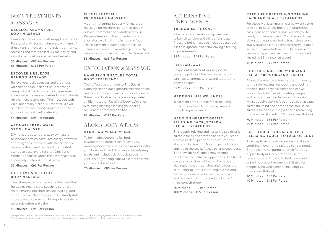# BODY TREATMENTS **MASSAGES**

#### D E CLÉOR AROMA ELLLI BODY MASSAGE

Heavenly full body aromatherapy treatments. Relax, detoxify, tone or stimulate with one of these tension-releasing, holistic treatments. Stresses and strains blissfully melt away and skin all over is left revitalised and velvety.

55 Minutes £85 Per Person 85 Minutes £115 Per Person

#### RECOVER & RELEASE BAMBOO MASSAGE

Relieve your daily stresses and tiredness with this sensuous deep tissue massage using natural bamboo and deep pressures to accentuate the massage effects and instantly relieve muscle tensions. The massage with Cica, Rosemary & Niaouli Essential Oils will help to stimulate blood circulation and help your skin to heal itself, naturally.

55 Minutes £95 Per Person

#### A R O M A T H E R A P Y WARM STONE MASSAGE

Divine heated stones relax away muscle tension and strains. Stimulate energy flow while soothing body and mind with this heavenly massage that uses the warmth of heated stones to ease every tension. Decléor's Aromatic Balms heighten the ecstasy and also supremely soften skin. Just heaven.

55 Minutes £95 Per Person

#### HOT LAVA SHELL FULL BODY MASSAGE

The ultimate calming massage the Lava Shell Relax treatment is the soothing solution. As the marine polished sea shells are glided smoothly over the body, you will instantly drift into a blanket of warmth, falling into a state of utter relaxation and calm.

55 Minutes £95 Per Person

#### ELEMIS PEACEFUL PREGNANCY MASSAGE

A gently nurturing, specially formulated massage for mothers-to-be that deeply relaxes, comforts and hydrates the skin. Relieves tension in the upper back and alleviates swelling in the hands and feet. This treatment includes a light facial to cleanse and moisturise with a gentle scalp massage. (Suitable in 2nd and 3rd trimester). 55 Minutes £85 Per Person

EXFOLIATION & MASSAGE

#### HANBURY SIGNATURE TOTAL BODY EXPERIENCE

Top to Toe treat. Unique to The Spa at Hanbury Manor, our signature treatment has been carefully designed for pure indulgence, this all over body experience incorporates an Elemis taster Facial, full body exfoliation & relaxing massage leaving you feeling rejuvenated from head to toe.

85 Minutes £115 Per Person

# AROMA BODY WRAPS

#### VANILLA & YLANG YLANG

Tailor-made cocooning full body envelopment. Exfoliation, followed by warming body mask helps to relax and soothe your body and mind. This sublimely relaxing treatment includes deliciously soothing vanilla & brightening papaya extract to leave your skin satin smooth.

70 Minutes £85 Per Person

# **ALTERNATIVE TREATMENTS**

#### TRANQUILLITY SCALP

Intensely de-stressing scalp treatment to banish tension and aid restful sleep. Pressure point massage includes essential oils to invigorate and calm leaving a feeling of pure serenity.

25 Minutes £45 Per Person

#### REFLEXOLOGY

An ancient treatment working on the pressure points of the feet Reflexology can help to energise, relax and restore the body's balance.

55 Minutes £85 Per Person

#### MADE FOR LIFE WELLNESS

Treatments are suitable for all including those in remission from, being treated for or living with cancer.

#### HAND ON HEART™ DEEPLY RELAXING BACK, SCALP & FACIAL TREATMENT

This deeply relaxing and nurturing spa ritual is suitable for all and created to help you reach a sense of deep peace and calm. Smooth, slow and rhythmic Tui Na and gentle touch is applied to the scalp, face, back and shoulders. The slow Tui Na Chinese movements rebalance and calm the upper body. The facial eases any tension held within the face and also replenishes, nourishes and revives the skin, using luxurious 100% organic oils and balms. (also suitable for people living with and recovering from cancer) (including 15 mins consultation)

70 Minutes £85 Per Person 100 Minutes £115 Per Person

#### CATCH THE BREATH® SOOTHING BACK AND SCALP TREATMENT

For those with less time, who simply want some time out to 'catch the breath'; this nurturing back, head and shoulder ritual will help you to gently drift away and relax. Your therapist uses slow, soothing and nurturing touch therapy with 100% organic oils and balms to bring you a deep sense of calm and relaxation. (also suitable for people living with and recovering from cancer) (including 15 mins consultation)

40 Minutes £45 Per Person

#### SOOTHE & NURTURE™ ORGANIC FACIAL 100% ORGANIC FACIAL

A beautiful way to restore natural luminosity to the skin, leaving you looking and feeling radiant. 100% organic balms and oils will nourish and cleanse, eliminating congestion and returning natural balance to the skin, whilst deeply relaxing face and scalp massage calms the mind and soothes the soul. (also suitable for people living with and recovering from cancer) (including 15 mins consultation)

70 Minutes £85 Per Person 40 Minutes £45 Per Person

#### S O F T T OUCH THE RAPY DEEPLY RELAXING TOUCH TO FACE OR BODY

An exceptionally relaxing sequence of slow, soothing movements tailored to your needs. Soothing and nurturing touch to full body or part body induces a deep sense of relaxation enabling you to find peace and enjoy the present moment. (Suitable for people living with cancer) (including 15 mins consultation)

70 Minutes £85 Per Person 40 Minutes £45 Per Person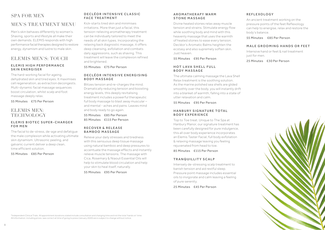# SPA FOR MEN

# MEN'S TREATMENT MENU

Men's skin behaves differently to women's. Shaving, sports and lifestyle all make their own demands. ELEMIS responds with high performance facial therapies designed to restore energy, dynamism and lustre to male skin.

# ELEMIS MEN'S: TOUCH

#### EL EMIS HIGH PERFORMANCE SKIN ENERGISER

The hard-working facial for ageing, dehydrated skin and tired eyes. It maximises cell regeneration, as extraction decongests. Multi-dynamic facial massage sequences boost circulation, whilst scalp and foot massage deeply relax.

55 Minutes £75 Per Person

# ELEMIS MEN: **TECHNOLOGY**

#### ELEMIS BIOTEC SUPER-CHARGER **FOR MEN**

The facial to de-stress, de-age and defatigue the male complexion while activating ultimate skin dynamism. Ultrasonic peeling, and galvanic current deliver a deep clean, time efficient solution.

55 Minutes £85 Per Person

#### DECLÉOR INTENSIVE CLASSIC FACE TREATMENT

Kick-starts tired skin and minimises irritations. More than just a facial, this tension-relieving aromatherapy treatment can be individually tailored to meet the needs of all skin types. Incorporating the relaxing back diagnostic massage, it offers deep cleansing, exfoliation and combats daily aggressions, such as shaving. This treatment will leave the complexion refined and brightened.

#### 55 Minutes £75 Per Person

#### DE CLÉOR INTENSIVE ENERGISING BODY MASSAGE

Blitzes tension and re-charges the mind. Dramatically reducing tension and boosting energy levels, this deeply revitalising treatment includes a powerful therapeutic full body massage to blast away muscular – and mental - aches and pains. Leaves mind and body ready to go again.

55 Minutes £85 Per Person 85 Minutes £115 Per Person

#### R E COVER & REI EASE BAMBOO MASSAGE

Relieve your daily stresses and tiredness with this sensuous deep tissue massage using natural bamboo and deep pressures to accentuate the massage effects and instantly relieve muscle tensions. The massage with Cica, Rosemary & Niaouli Essential Oils will help to stimulate blood circulation and help your skin to heal itself, naturally.

55 Minutes £95 Per Person

#### A R O M A T H E R A P Y WARM STONE MASSAGE

Divine heated stones relax away muscle tension and strains. Stimulate energy flow while soothing body and mind with this heavenly massage that uses the warmth of heated stones to ease every tension. Decléor's Aromatic Balms heighten the ecstasy and also supremely soften skin. Just heaven.

55 Minutes £95 Per Person

#### HOT LAVA SHELL FULL BODY MASSAGE

The ultimate calming massage the Lava Shell Relax treatment is the soothing solution. As the marine polished sea shells are glided smoothly over the body, you will instantly drift into a blanket of warmth, falling into a state of utter relaxation and calm.

55 Minutes £95 Per Person

#### HANBURY SIGNATURE TOTAL BODY EXPERIENCE

Top to Toe treat. Unique to The Spa at Hanbury Manor, our signature treatment has been carefully designed for pure indulgence, this all over body experience incorporates an Elemis Taster Facial, full body exfoliation & relaxing massage leaving you feeling rejuvenated from head to toe.

85 Minutes £115 Per Person

#### TRANQUILLITY SCALP

Intensely de-stressing scalp treatment to banish tension and aid restful sleep. Pressure point massage includes essential oils to invigorate and calm leaving a feeling of pure serenity.

25 Minutes £45 Per Person

#### REFLEXOLOGY

An ancient treatment working on the pressure points of the feet Reflexology can help to energise, relax and restore the body's balance.

55 Minutes £85 Per Person

#### MALE GROOMING HANDS OR FFFT

Intensive hand or feet & nail treatment just for men.

25 Minutes £30 Per Person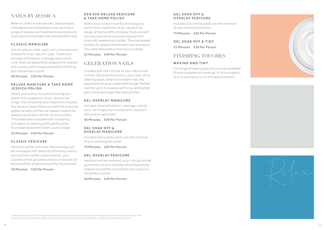# NAILS BY JESSICA

When it comes to natural nails, Jessica nails is considered a world leading brand, we have a range of Jessica nail treatments and products to achieve and maintain naturally beautiful nails.

#### CLASSIC MANICURE

Not all nails are alike, each nail is analysed and treated for their specific type. Treatment includes exfoliation, massage and cuticle care. Nails are beautifully shaped and treated with a prescriptive basecoat before finishing with the perfect polish.

40 Minutes £39 Per Person

#### D EL UX E MANICURE & TAKE HOME JESSICA POLISH

Select your colour mood by choosing your polish from a selection of our Jessica nail range, this comprehensive treatment includes the Jessica Classic Manicure with the luxurious added benefits of thermal heated mittens for deeper penetration of the oils and creams. This treatment is excellent for increasing circulation or relieving stiff, painful joints. Your selected polish is then yours to keep.

55 Minutes £49 Per Person

#### CLASSIC PEDICURE

Hard skin will be removed, feet and legs will be massaged with deep conditioning creams leaving them softer and smoother, your cuticles will be groomed and your toenails will be beautifully shaped and perfectly polished.

40 Minutes £39 Per Person

#### ZEN SPA DELUXE PEDICURE & TAKE HOME POLISH

Select your colour mood by choosing your polish from a selection of our Jessica nail range, all the benefits of classic Pedicure with luxurious elements of a lower leg and foot ritual with awakening crystals. Thermal heated booties for deeper penetration and relaxation. Your selected polish is then yours to keep.

55 Minutes £49 Per Person

# GELERATION NAILS

Created with the nurture of your natural nail in mind, GELeration protects your nails, while offering weak, bitten or problem nails the opportunity to grow underneath the gel, Perfect nails for up to 3-4 weeks with long-lasting high gloss shine and super fast drying times.

#### GEL OVERLAY MANICURE

Includes hand exfoliation, massage, cuticle care, nail shape and finished with Jessica's GELeration gel polish.

40 Minutes £49 Per Person

#### GEL SOAK OFF & **OVERLAY MANICURE**

Includes Gel overlay manicure with removal of your existing Gel polish.

70 Minutes £65 Per Person

#### GEL OVERLAY PEDICURE

Hard skin will be removed, your cuticles will be groomed and your toenails will be beautifully shaped and perfectly polished with Jessica's GELeration polish.

40 Minutes £49 Per Person

#### GEL SOAK OFF & OVERLAY PEDICURE

Includes Gel overlay pedicure with removal of your existing Gel polish.

70 Minutes £65 Per Person

GEL SOAK OFF & TIDY 25 Minutes £30 Per Person

# FINISHING TOUCHES

#### WAXING AND TINT

Full range of waxing and tint services available (Prices available on booking). A 24 hour patch test is required prior to tint appointments.





\*Independent Clinical Trials. All appointment durations stated include consultation and changing time and not the total 'hands on' time. All information, including prices, was correct at time of going to press (January 2020) are is subject to change without notice.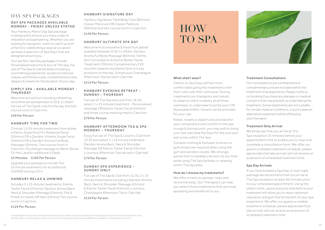# DAY SPA PACKAGES

#### DAY SPA PACKAGES AVAILABLE MONDAY - FRIDAY UNLESS STATED

Your Hanbury Manor Day Spa package is designed to ensure you enjoy a day of relaxation and pampering. Whether you are looking for escapism, want to catch up with a friend or celebrating a special occasion we have a selection of Spa Days that are designed around you.

Your perfect Spa Day packages include… Personalised welcome & tour of The Spa, full use of The Spa & club facilities including a lunch/dining experience, access to exercise classes and fitness suite, complimentary robe, slippers & towels for the duration of your day.

#### SIMPI Y SPA - AVAII ARI F MONDAY -THURSDAY

Welcome arrival tour including refreshing smoothie served between 9.30 & 11.00am, full use of The Spa & club for the day and two course lunch in Cast Iron.

#### £49 Per Person

#### HANBURY TIME FOR TWO

Choose 1 X 55 minute treatment from either a Elemis Superfood Pro Radiance Facial (55mins) OR a Decléor Vitamin Surge Facial (55mins) OR a Decléor Aroma Full Body Massage (55mins), Two course lunch in Cast Iron. (Exchange massage to Warm Stone Or Hot Lava for additional £10pp)

#### 55 Minutes £109 Per Person

*Upgrade your package to include Two 55 minute treatments for an additional £50/£60 (saving £25+).*

#### HANBURY RELAX & UNWIND

Includes 3 x 25 minute treatments, Elemis Taster Facial (25mins), Decléor Aroma Back, Neck & Shoulder Massage (25mins), File & Polish on hands OR feet (25mins) Two course lunch in Cast Iron.

#### £129 Per Person

#### HANBURY SIGNATURE DAY

Hanbury Signature Total Body Care (85mins), Classic Manicure OR Classic Pedicure (40mins) and two course lunch in Cast Iron.

## £159 Per Person

#### HANRURY ULTIMATE SPA DAY

Welcome fruit smoothie & fresh fruit platter available between 9.30-11.00am, Decléor Aroma Full Body Massage (85mins), Elemis Skin Consultation & Elemis Biotec Facial Treatment (70mins) Complimentary £20 voucher towards any Elemis face or body products on the day. Sumptuous Champagne Afternoon Tea served in Oak Hall.

£219 Per Person

#### HANBURY EVENING RETREAT -SUNDAY - THURSDAY

Full use of The Spa and club from 16.30, select 1 x 25 minute treatment - Personalised massage OR Elemis Taster Facial (25mins) and three course evening meal in Cast Iron.

£79 Per Person

#### HANRURY AFTFRNOON TFA & SPA MONDAY - THURSDAY

Enjoy full use of The Spa & Country Club from 12:30 and select 1 x 25 minute treatment. Decléor Aroma Back, Neck & Shoulder Massage OR Elemis Taster Facial (25mins) Luxurious Afternoon Tea served in Oak Hall.

#### £79 Per Person

#### SUNDAY SPA EXPERIENCE -SUNDAY ONLY

Full use of The Spa & Club from 12.30, 2 x 25 minute treatments including a Decléor Aroma Back, Neck & Shoulder Massage (25mins) & Elemis Taster Facial (25mins) Luxurious Champagne Afternoon Tea In Oak Hall. £119 Per Person

# HOW TO SPA

#### What shall I wear?

Clients on Spa Days will feel most comfortable going into treatments with their robe over their swimwear. During treatments our therapists are trained to observe client modesty at all times swimwear or underwear must be worn OR disposable briefs / boxers can be provided for your use.

Robes, towels & slippers are provided for your convenience and comfort in the spa lounge & during lunch, you may wish to bring your own wet area flip flops for the pool and wet zones within The Spa.

Suitable clothing & footwear (trainers or gym shoes) are required when using the gym and aerobics studio. We strongly advise that no jewellery be worn at any time while using The Spa facilities or relaxing within The Spa area.

#### How do I choose my treatments?

We offer a menu to pamper, relax and revive the body. Our Therapists can help you select those treatments that are most appealing and beneficial to you.



#### Treatment Consultations

Our consultations are confidential and complimentary and are included within the treatment time experience. Please notify us on booking if you have any allergies or medical concerns that may prevent us undertaking the treatment. Some treatments are not suitable for certain medical conditions, in such cases an alternative treatment will be offered by your therapist.

#### Treatment Only Arrival

We kindly ask that you arrive at The Spa reception 15 minutes before your appointment time to enable you to relax and complete a consultation form. We offer our guests a reliable treatment schedule, please appreciate that late arrivals will not receive an extension of scheduled treatment time.

#### Spa Day Arrivals

If you have booked a Spa Day or over night package we recommend that you arrive at The Spa reception at least 60 minutes prior to your scheduled appointment. Using the steam room, sauna and pool area before your treatment will allow you to reach optimum relaxation and gain the full benefit of your spa experience. We offer our guests a reliable treatment schedule, please appreciate that late arrivals will not receive an extension of scheduled treatment time.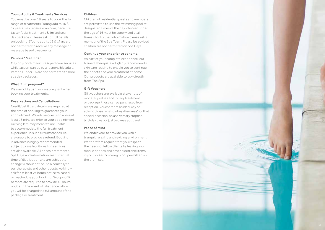#### Young Adults & Treatments Services

You must be over 18 years to book the full range of treatments. Young adults 16 & 17 years may receive manicure, pedicure, taster facial treatments & limited spa day packages. Please ask for full details on booking. (Young adults 16 & 17yrs are not permitted to receive any massage or massage based treatments)

#### Persons 15 & Under

May only book manicure & pedicure services whilst accompanied by a responsible adult. Persons under 16 are not permitted to book spa day packages.

#### What if I'm pregnant?

Please notify us if you are pregnant when booking your treatments.

#### Reservations and Cancellations

Credit/debit card details are required at the time of booking to guarantee your appointment. We advise guests to arrive at least 15 minutes prior to your appointment. Arriving late may mean we are unable to accommodate the full treatment experience, in such circumstances we are unable to provide a refund. Booking in advance is highly recommended, subject to availability walk in services are also available. All prices, treatments, Spa Days and information are current at time of distribution and are subject to change without notice. As a courtesy to our therapists and other guests we kindly ask for at least 24 hours notice to cancel or reschedule your booking. Groups of 5 or more are required to provide 48 hours notice. In the event of late cancellation you will be charged the full amount of the package or treatment.

#### Children

Children of residential guests and members are permitted to use the swimming pool at designated times of the day, children under the age of 16 must be supervised at all times - for further information please ask a member of the Spa Team. Please be advised children are not permitted on Spa Days.

#### Continue your experience at home.

As part of your complete experience, our trained Therapists will gladly recommend a skin care routine to enable you to continue the benefits of your treatment at home. Our products are available to buy directly from The Spa.

#### Gift Vouchers

Gift vouchers are available at a variety of monetary values and for any treatment or package; these can be purchased from reception. Vouchers are an ideal way of solving those 'what-to-buy dilemmas' for that special occasion, an anniversary surprise, birthday treat or just because you care!

#### Peace of Mind

We endeavour to provide you with a tranquil, relaxing and reviving environment. We therefore request that you respect the needs of fellow clients by leaving your mobile phones and other electronic items in your locker. Smoking is not permitted on the premises.